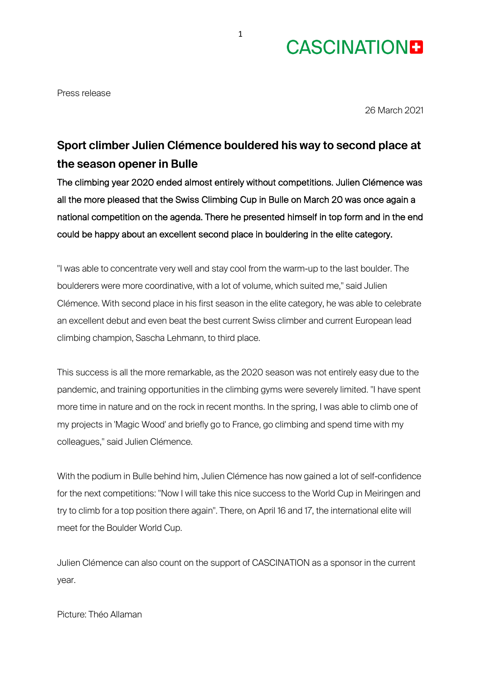## **CASCINATIONE**

Press release

26 March 2021

## **Sport climber Julien Clémence bouldered his way to second place at the season opener in Bulle**

The climbing year 2020 ended almost entirely without competitions. Julien Clémence was all the more pleased that the Swiss Climbing Cup in Bulle on March 20 was once again a national competition on the agenda. There he presented himself in top form and in the end could be happy about an excellent second place in bouldering in the elite category.

"I was able to concentrate very well and stay cool from the warm-up to the last boulder. The boulderers were more coordinative, with a lot of volume, which suited me," said Julien Clémence. With second place in his first season in the elite category, he was able to celebrate an excellent debut and even beat the best current Swiss climber and current European lead climbing champion, Sascha Lehmann, to third place.

This success is all the more remarkable, as the 2020 season was not entirely easy due to the pandemic, and training opportunities in the climbing gyms were severely limited. "I have spent more time in nature and on the rock in recent months. In the spring, I was able to climb one of my projects in 'Magic Wood' and briefly go to France, go climbing and spend time with my colleagues," said Julien Clémence.

With the podium in Bulle behind him, Julien Clémence has now gained a lot of self-confidence for the next competitions: "Now I will take this nice success to the World Cup in Meiringen and try to climb for a top position there again". There, on April 16 and 17, the international elite will meet for the Boulder World Cup.

Julien Clémence can also count on the support of CASCINATION as a sponsor in the current year.

Picture: Théo Allaman

1